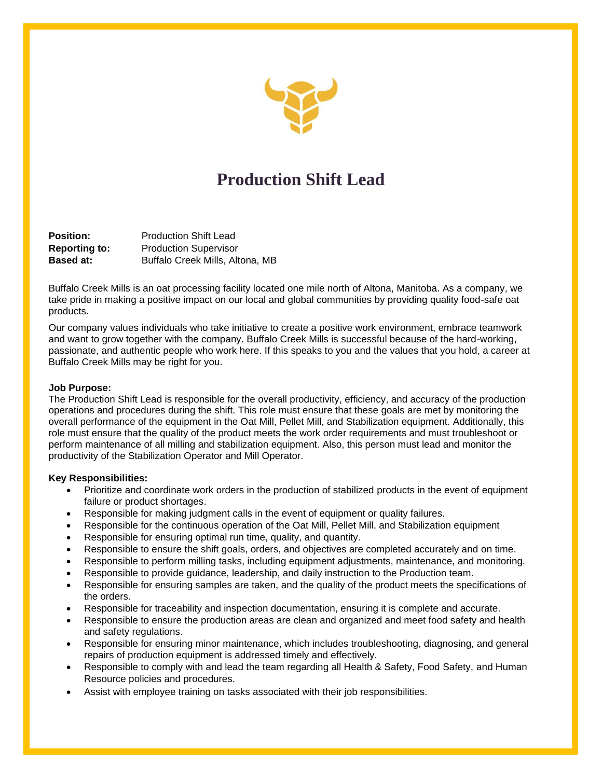

# **Production Shift Lead**

**Position:** Production Shift Lead **Reporting to:** Production Supervisor **Based at:** Buffalo Creek Mills, Altona, MB

Buffalo Creek Mills is an oat processing facility located one mile north of Altona, Manitoba. As a company, we take pride in making a positive impact on our local and global communities by providing quality food-safe oat products.

Our company values individuals who take initiative to create a positive work environment, embrace teamwork and want to grow together with the company. Buffalo Creek Mills is successful because of the hard-working, passionate, and authentic people who work here. If this speaks to you and the values that you hold, a career at Buffalo Creek Mills may be right for you.

## **Job Purpose:**

The Production Shift Lead is responsible for the overall productivity, efficiency, and accuracy of the production operations and procedures during the shift. This role must ensure that these goals are met by monitoring the overall performance of the equipment in the Oat Mill, Pellet Mill, and Stabilization equipment. Additionally, this role must ensure that the quality of the product meets the work order requirements and must troubleshoot or perform maintenance of all milling and stabilization equipment. Also, this person must lead and monitor the productivity of the Stabilization Operator and Mill Operator.

# **Key Responsibilities:**

- Prioritize and coordinate work orders in the production of stabilized products in the event of equipment failure or product shortages.
- Responsible for making judgment calls in the event of equipment or quality failures.
- Responsible for the continuous operation of the Oat Mill, Pellet Mill, and Stabilization equipment
- Responsible for ensuring optimal run time, quality, and quantity.
- Responsible to ensure the shift goals, orders, and objectives are completed accurately and on time.
- Responsible to perform milling tasks, including equipment adjustments, maintenance, and monitoring.
- Responsible to provide guidance, leadership, and daily instruction to the Production team.
- Responsible for ensuring samples are taken, and the quality of the product meets the specifications of the orders.
- Responsible for traceability and inspection documentation, ensuring it is complete and accurate.
- Responsible to ensure the production areas are clean and organized and meet food safety and health and safety regulations.
- Responsible for ensuring minor maintenance, which includes troubleshooting, diagnosing, and general repairs of production equipment is addressed timely and effectively.
- Responsible to comply with and lead the team regarding all Health & Safety, Food Safety, and Human Resource policies and procedures.
- Assist with employee training on tasks associated with their job responsibilities.